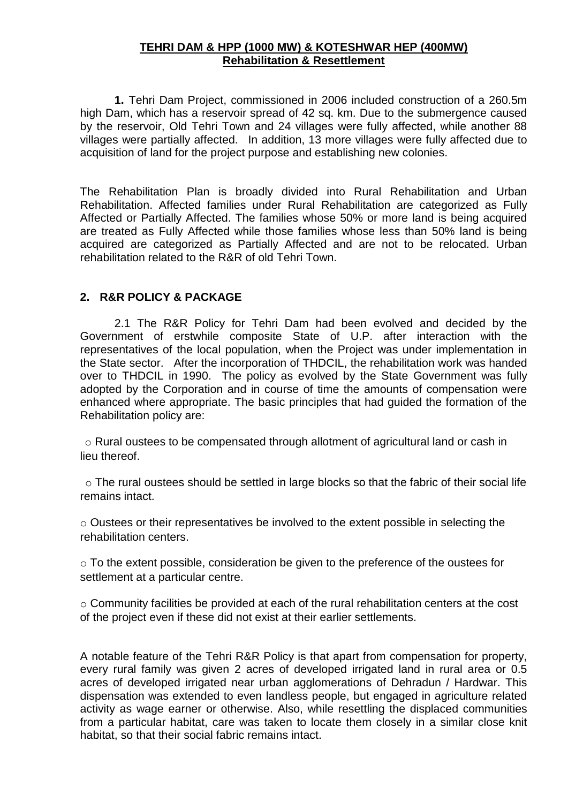#### **TEHRI DAM & HPP (1000 MW) & KOTESHWAR HEP (400MW) Rehabilitation & Resettlement**

**1.** Tehri Dam Project, commissioned in 2006 included construction of a 260.5m high Dam, which has a reservoir spread of 42 sq. km. Due to the submergence caused by the reservoir, Old Tehri Town and 24 villages were fully affected, while another 88 villages were partially affected. In addition, 13 more villages were fully affected due to acquisition of land for the project purpose and establishing new colonies.

The Rehabilitation Plan is broadly divided into Rural Rehabilitation and Urban Rehabilitation. Affected families under Rural Rehabilitation are categorized as Fully Affected or Partially Affected. The families whose 50% or more land is being acquired are treated as Fully Affected while those families whose less than 50% land is being acquired are categorized as Partially Affected and are not to be relocated. Urban rehabilitation related to the R&R of old Tehri Town.

# **2. R&R POLICY & PACKAGE**

2.1 The R&R Policy for Tehri Dam had been evolved and decided by the Government of erstwhile composite State of U.P. after interaction with the representatives of the local population, when the Project was under implementation in the State sector. After the incorporation of THDCIL, the rehabilitation work was handed over to THDCIL in 1990. The policy as evolved by the State Government was fully adopted by the Corporation and in course of time the amounts of compensation were enhanced where appropriate. The basic principles that had guided the formation of the Rehabilitation policy are:

o Rural oustees to be compensated through allotment of agricultural land or cash in lieu thereof.

o The rural oustees should be settled in large blocks so that the fabric of their social life remains intact.

o Oustees or their representatives be involved to the extent possible in selecting the rehabilitation centers.

o To the extent possible, consideration be given to the preference of the oustees for settlement at a particular centre.

o Community facilities be provided at each of the rural rehabilitation centers at the cost of the project even if these did not exist at their earlier settlements.

A notable feature of the Tehri R&R Policy is that apart from compensation for property, every rural family was given 2 acres of developed irrigated land in rural area or 0.5 acres of developed irrigated near urban agglomerations of Dehradun / Hardwar. This dispensation was extended to even landless people, but engaged in agriculture related activity as wage earner or otherwise. Also, while resettling the displaced communities from a particular habitat, care was taken to locate them closely in a similar close knit habitat, so that their social fabric remains intact.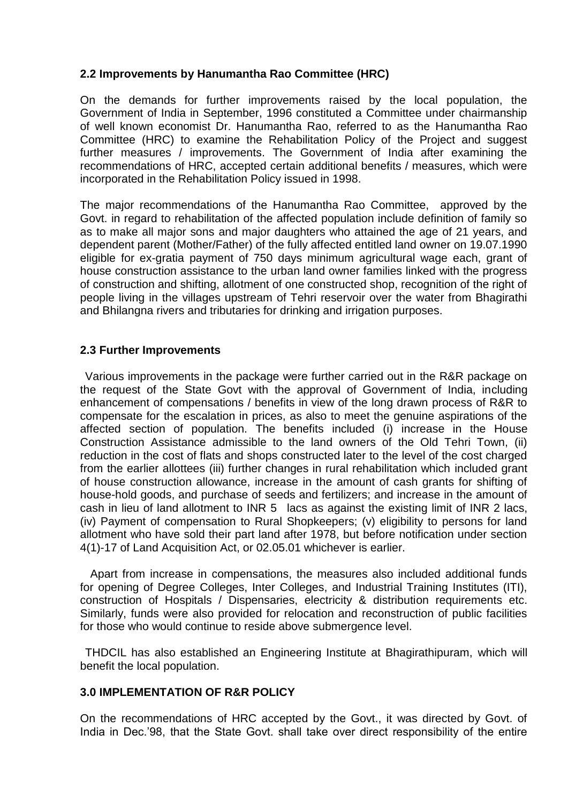## **2.2 Improvements by Hanumantha Rao Committee (HRC)**

On the demands for further improvements raised by the local population, the Government of India in September, 1996 constituted a Committee under chairmanship of well known economist Dr. Hanumantha Rao, referred to as the Hanumantha Rao Committee (HRC) to examine the Rehabilitation Policy of the Project and suggest further measures / improvements. The Government of India after examining the recommendations of HRC, accepted certain additional benefits / measures, which were incorporated in the Rehabilitation Policy issued in 1998.

The major recommendations of the Hanumantha Rao Committee, approved by the Govt. in regard to rehabilitation of the affected population include definition of family so as to make all major sons and major daughters who attained the age of 21 years, and dependent parent (Mother/Father) of the fully affected entitled land owner on 19.07.1990 eligible for ex-gratia payment of 750 days minimum agricultural wage each, grant of house construction assistance to the urban land owner families linked with the progress of construction and shifting, allotment of one constructed shop, recognition of the right of people living in the villages upstream of Tehri reservoir over the water from Bhagirathi and Bhilangna rivers and tributaries for drinking and irrigation purposes.

### **2.3 Further Improvements**

Various improvements in the package were further carried out in the R&R package on the request of the State Govt with the approval of Government of India, including enhancement of compensations / benefits in view of the long drawn process of R&R to compensate for the escalation in prices, as also to meet the genuine aspirations of the affected section of population. The benefits included (i) increase in the House Construction Assistance admissible to the land owners of the Old Tehri Town, (ii) reduction in the cost of flats and shops constructed later to the level of the cost charged from the earlier allottees (iii) further changes in rural rehabilitation which included grant of house construction allowance, increase in the amount of cash grants for shifting of house-hold goods, and purchase of seeds and fertilizers; and increase in the amount of cash in lieu of land allotment to INR 5 lacs as against the existing limit of INR 2 lacs, (iv) Payment of compensation to Rural Shopkeepers; (v) eligibility to persons for land allotment who have sold their part land after 1978, but before notification under section 4(1)-17 of Land Acquisition Act, or 02.05.01 whichever is earlier.

 Apart from increase in compensations, the measures also included additional funds for opening of Degree Colleges, Inter Colleges, and Industrial Training Institutes (ITI), construction of Hospitals / Dispensaries, electricity & distribution requirements etc. Similarly, funds were also provided for relocation and reconstruction of public facilities for those who would continue to reside above submergence level.

THDCIL has also established an Engineering Institute at Bhagirathipuram, which will benefit the local population.

### **3.0 IMPLEMENTATION OF R&R POLICY**

On the recommendations of HRC accepted by the Govt., it was directed by Govt. of India in Dec.'98, that the State Govt. shall take over direct responsibility of the entire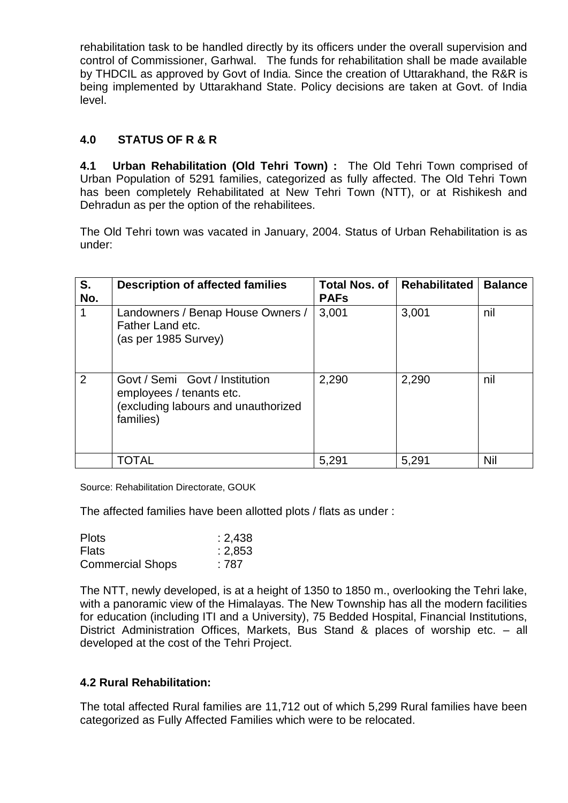rehabilitation task to be handled directly by its officers under the overall supervision and control of Commissioner, Garhwal. The funds for rehabilitation shall be made available by THDCIL as approved by Govt of India. Since the creation of Uttarakhand, the R&R is being implemented by Uttarakhand State. Policy decisions are taken at Govt. of India level.

# **4.0 STATUS OF R & R**

**4.1 Urban Rehabilitation (Old Tehri Town) :** The Old Tehri Town comprised of Urban Population of 5291 families, categorized as fully affected. The Old Tehri Town has been completely Rehabilitated at New Tehri Town (NTT), or at Rishikesh and Dehradun as per the option of the rehabilitees.

The Old Tehri town was vacated in January, 2004. Status of Urban Rehabilitation is as under:

| S.<br>No. | <b>Description of affected families</b>                                                                        | <b>Total Nos. of</b><br><b>PAFs</b> | <b>Rehabilitated</b> | <b>Balance</b> |
|-----------|----------------------------------------------------------------------------------------------------------------|-------------------------------------|----------------------|----------------|
| 1         | Landowners / Benap House Owners /<br>Father Land etc.<br>(as per 1985 Survey)                                  | 3,001                               | 3,001                | nil            |
| 2         | Govt / Semi Govt / Institution<br>employees / tenants etc.<br>(excluding labours and unauthorized<br>families) | 2,290                               | 2,290                | nil            |
|           | TOTAL                                                                                                          | 5,291                               | 5,291                | Nil            |

Source: Rehabilitation Directorate, GOUK

The affected families have been allotted plots / flats as under :

| <b>Plots</b>            | : 2,438 |
|-------------------------|---------|
| <b>Flats</b>            | : 2,853 |
| <b>Commercial Shops</b> | :787    |

The NTT, newly developed, is at a height of 1350 to 1850 m., overlooking the Tehri lake, with a panoramic view of the Himalayas. The New Township has all the modern facilities for education (including ITI and a University), 75 Bedded Hospital, Financial Institutions, District Administration Offices, Markets, Bus Stand & places of worship etc. – all developed at the cost of the Tehri Project.

# **4.2 Rural Rehabilitation:**

The total affected Rural families are 11,712 out of which 5,299 Rural families have been categorized as Fully Affected Families which were to be relocated.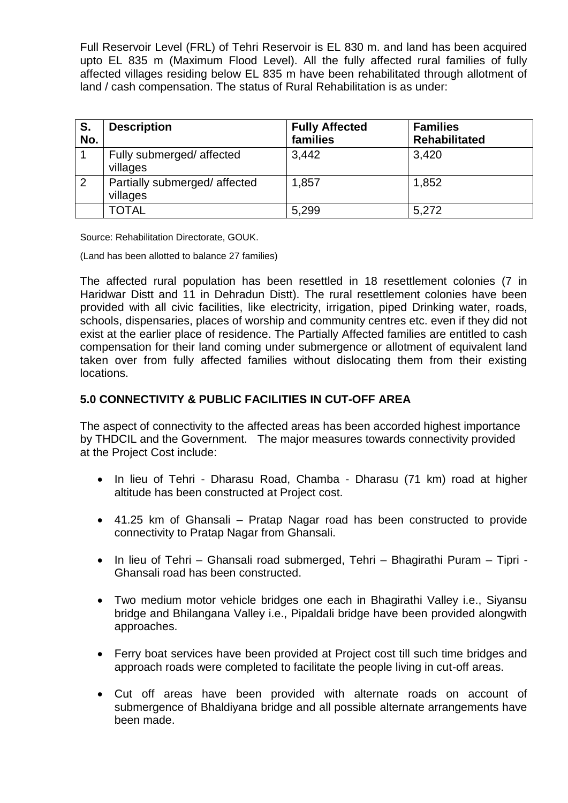Full Reservoir Level (FRL) of Tehri Reservoir is EL 830 m. and land has been acquired upto EL 835 m (Maximum Flood Level). All the fully affected rural families of fully affected villages residing below EL 835 m have been rehabilitated through allotment of land / cash compensation. The status of Rural Rehabilitation is as under:

| S.<br>No. | <b>Description</b>                        | <b>Fully Affected</b><br>families | <b>Families</b><br><b>Rehabilitated</b> |
|-----------|-------------------------------------------|-----------------------------------|-----------------------------------------|
|           | Fully submerged/ affected<br>villages     | 3,442                             | 3.420                                   |
| 2         | Partially submerged/ affected<br>villages | 1,857                             | 1,852                                   |
|           | TOTAL                                     | 5,299                             | 5,272                                   |

Source: Rehabilitation Directorate, GOUK.

(Land has been allotted to balance 27 families)

The affected rural population has been resettled in 18 resettlement colonies (7 in Haridwar Distt and 11 in Dehradun Distt). The rural resettlement colonies have been provided with all civic facilities, like electricity, irrigation, piped Drinking water, roads, schools, dispensaries, places of worship and community centres etc. even if they did not exist at the earlier place of residence. The Partially Affected families are entitled to cash compensation for their land coming under submergence or allotment of equivalent land taken over from fully affected families without dislocating them from their existing locations.

## **5.0 CONNECTIVITY & PUBLIC FACILITIES IN CUT-OFF AREA**

The aspect of connectivity to the affected areas has been accorded highest importance by THDCIL and the Government. The major measures towards connectivity provided at the Project Cost include:

- In lieu of Tehri Dharasu Road, Chamba Dharasu (71 km) road at higher altitude has been constructed at Project cost.
- 41.25 km of Ghansali Pratap Nagar road has been constructed to provide connectivity to Pratap Nagar from Ghansali.
- In lieu of Tehri Ghansali road submerged, Tehri Bhagirathi Puram Tipri Ghansali road has been constructed.
- Two medium motor vehicle bridges one each in Bhagirathi Valley i.e., Siyansu bridge and Bhilangana Valley i.e., Pipaldali bridge have been provided alongwith approaches.
- Ferry boat services have been provided at Project cost till such time bridges and approach roads were completed to facilitate the people living in cut-off areas.
- Cut off areas have been provided with alternate roads on account of submergence of Bhaldiyana bridge and all possible alternate arrangements have been made.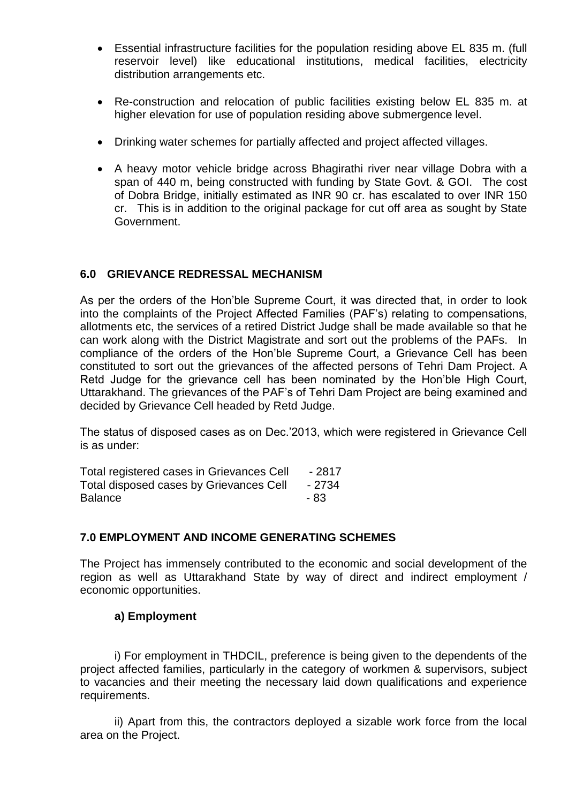- Essential infrastructure facilities for the population residing above EL 835 m. (full reservoir level) like educational institutions, medical facilities, electricity distribution arrangements etc.
- Re-construction and relocation of public facilities existing below EL 835 m. at higher elevation for use of population residing above submergence level.
- Drinking water schemes for partially affected and project affected villages.
- A heavy motor vehicle bridge across Bhagirathi river near village Dobra with a span of 440 m, being constructed with funding by State Govt. & GOI. The cost of Dobra Bridge, initially estimated as INR 90 cr. has escalated to over INR 150 cr. This is in addition to the original package for cut off area as sought by State Government.

## **6.0 GRIEVANCE REDRESSAL MECHANISM**

As per the orders of the Hon'ble Supreme Court, it was directed that, in order to look into the complaints of the Project Affected Families (PAF's) relating to compensations, allotments etc, the services of a retired District Judge shall be made available so that he can work along with the District Magistrate and sort out the problems of the PAFs. In compliance of the orders of the Hon'ble Supreme Court, a Grievance Cell has been constituted to sort out the grievances of the affected persons of Tehri Dam Project. A Retd Judge for the grievance cell has been nominated by the Hon'ble High Court, Uttarakhand. The grievances of the PAF's of Tehri Dam Project are being examined and decided by Grievance Cell headed by Retd Judge.

The status of disposed cases as on Dec.'2013, which were registered in Grievance Cell is as under:

| Total registered cases in Grievances Cell | - 2817 |
|-------------------------------------------|--------|
| Total disposed cases by Grievances Cell   | - 2734 |
| <b>Balance</b>                            | - 83   |

# **7.0 EMPLOYMENT AND INCOME GENERATING SCHEMES**

The Project has immensely contributed to the economic and social development of the region as well as Uttarakhand State by way of direct and indirect employment / economic opportunities.

### **a) Employment**

i) For employment in THDCIL, preference is being given to the dependents of the project affected families, particularly in the category of workmen & supervisors, subject to vacancies and their meeting the necessary laid down qualifications and experience requirements.

ii) Apart from this, the contractors deployed a sizable work force from the local area on the Project.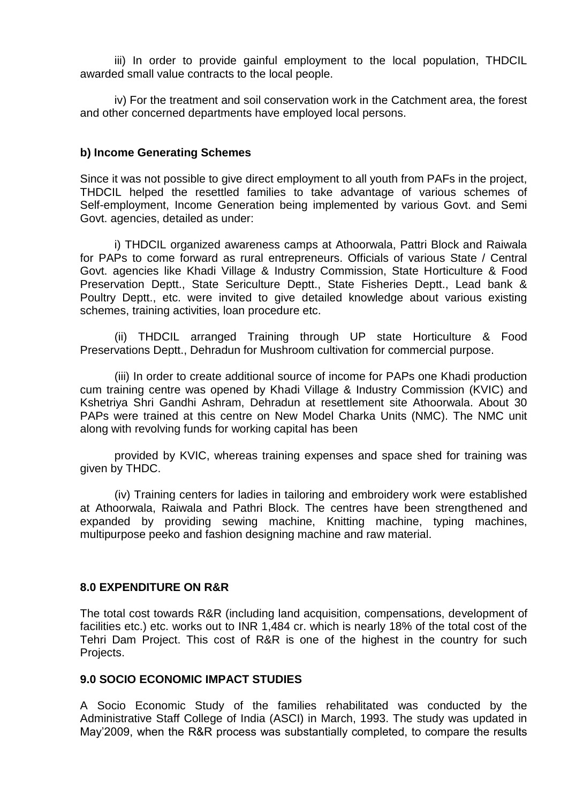iii) In order to provide gainful employment to the local population, THDCIL awarded small value contracts to the local people.

iv) For the treatment and soil conservation work in the Catchment area, the forest and other concerned departments have employed local persons.

#### **b) Income Generating Schemes**

Since it was not possible to give direct employment to all youth from PAFs in the project, THDCIL helped the resettled families to take advantage of various schemes of Self-employment, Income Generation being implemented by various Govt. and Semi Govt. agencies, detailed as under:

i) THDCIL organized awareness camps at Athoorwala, Pattri Block and Raiwala for PAPs to come forward as rural entrepreneurs. Officials of various State / Central Govt. agencies like Khadi Village & Industry Commission, State Horticulture & Food Preservation Deptt., State Sericulture Deptt., State Fisheries Deptt., Lead bank & Poultry Deptt., etc. were invited to give detailed knowledge about various existing schemes, training activities, loan procedure etc.

(ii) THDCIL arranged Training through UP state Horticulture & Food Preservations Deptt., Dehradun for Mushroom cultivation for commercial purpose.

(iii) In order to create additional source of income for PAPs one Khadi production cum training centre was opened by Khadi Village & Industry Commission (KVIC) and Kshetriya Shri Gandhi Ashram, Dehradun at resettlement site Athoorwala. About 30 PAPs were trained at this centre on New Model Charka Units (NMC). The NMC unit along with revolving funds for working capital has been

provided by KVIC, whereas training expenses and space shed for training was given by THDC.

(iv) Training centers for ladies in tailoring and embroidery work were established at Athoorwala, Raiwala and Pathri Block. The centres have been strengthened and expanded by providing sewing machine, Knitting machine, typing machines, multipurpose peeko and fashion designing machine and raw material.

### **8.0 EXPENDITURE ON R&R**

The total cost towards R&R (including land acquisition, compensations, development of facilities etc.) etc. works out to INR 1,484 cr. which is nearly 18% of the total cost of the Tehri Dam Project. This cost of R&R is one of the highest in the country for such Projects.

#### **9.0 SOCIO ECONOMIC IMPACT STUDIES**

A Socio Economic Study of the families rehabilitated was conducted by the Administrative Staff College of India (ASCI) in March, 1993. The study was updated in May'2009, when the R&R process was substantially completed, to compare the results